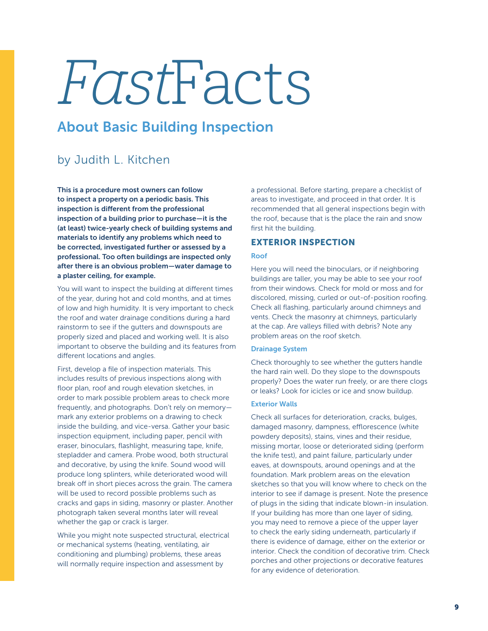# FastFacts

## About Basic Building Inspection

## by Judith L. Kitchen

This is a procedure most owners can follow to inspect a property on a periodic basis. This inspection is different from the professional inspection of a building prior to purchase—it is the (at least) twice-yearly check of building systems and materials to identify any problems which need to be corrected, investigated further or assessed by a professional. Too often buildings are inspected only after there is an obvious problem—water damage to a plaster ceiling, for example.

You will want to inspect the building at different times of the year, during hot and cold months, and at times of low and high humidity. It is very important to check the roof and water drainage conditions during a hard rainstorm to see if the gutters and downspouts are properly sized and placed and working well. It is also important to observe the building and its features from different locations and angles.

First, develop a file of inspection materials. This includes results of previous inspections along with floor plan, roof and rough elevation sketches, in order to mark possible problem areas to check more frequently, and photographs. Don't rely on memory mark any exterior problems on a drawing to check inside the building, and vice-versa. Gather your basic inspection equipment, including paper, pencil with eraser, binoculars, flashlight, measuring tape, knife, stepladder and camera. Probe wood, both structural and decorative, by using the knife. Sound wood will produce long splinters, while deteriorated wood will break off in short pieces across the grain. The camera will be used to record possible problems such as cracks and gaps in siding, masonry or plaster. Another photograph taken several months later will reveal whether the gap or crack is larger.

While you might note suspected structural, electrical or mechanical systems (heating, ventilating, air conditioning and plumbing) problems, these areas will normally require inspection and assessment by

a professional. Before starting, prepare a checklist of areas to investigate, and proceed in that order. It is recommended that all general inspections begin with the roof, because that is the place the rain and snow first hit the building.

### EXTERIOR INSPECTION

#### Roof

Here you will need the binoculars, or if neighboring buildings are taller, you may be able to see your roof from their windows. Check for mold or moss and for discolored, missing, curled or out-of-position roofing. Check all flashing, particularly around chimneys and vents. Check the masonry at chimneys, particularly at the cap. Are valleys filled with debris? Note any problem areas on the roof sketch.

#### Drainage System

Check thoroughly to see whether the gutters handle the hard rain well. Do they slope to the downspouts properly? Does the water run freely, or are there clogs or leaks? Look for icicles or ice and snow buildup.

#### Exterior Walls

Check all surfaces for deterioration, cracks, bulges, damaged masonry, dampness, efflorescence (white powdery deposits), stains, vines and their residue, missing mortar, loose or deteriorated siding (perform the knife test), and paint failure, particularly under eaves, at downspouts, around openings and at the foundation. Mark problem areas on the elevation sketches so that you will know where to check on the interior to see if damage is present. Note the presence of plugs in the siding that indicate blown-in insulation. If your building has more than one layer of siding, you may need to remove a piece of the upper layer to check the early siding underneath, particularly if there is evidence of damage, either on the exterior or interior. Check the condition of decorative trim. Check porches and other projections or decorative features for any evidence of deterioration.